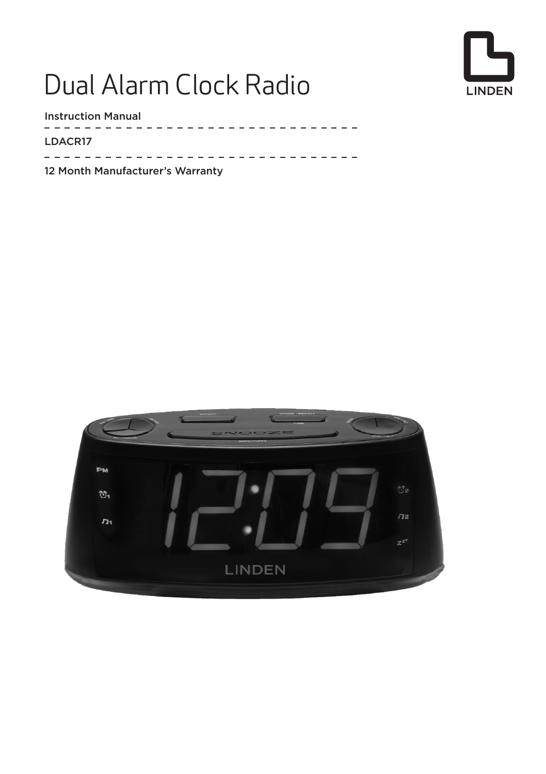# Dual Alarm Clock Radio



Instruction Manual

 $- - - - - -$ LDACR17 $\frac{1}{2}$  =  $\frac{1}{2}$  =  $\frac{1}{2}$  =  $\frac{1}{2}$  =  $\frac{1}{2}$  =  $\frac{1}{2}$ 

12 Month Manufacturer's Warranty

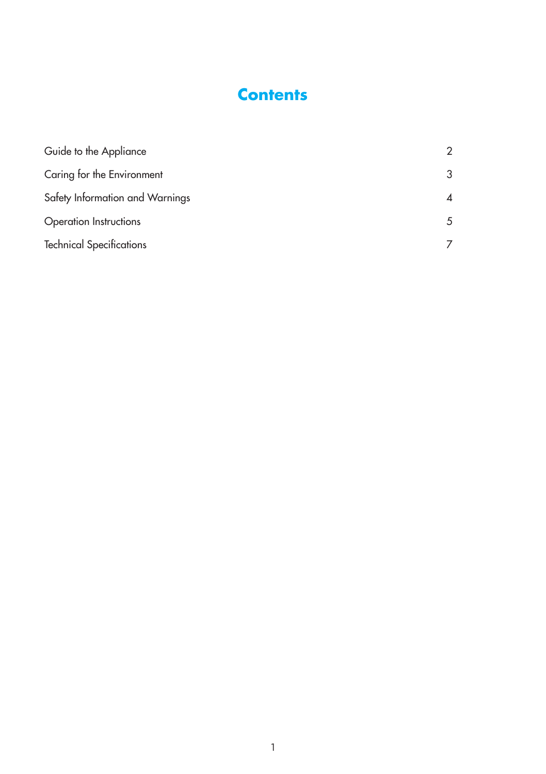## **Contents**

| Guide to the Appliance          | 2  |
|---------------------------------|----|
| Caring for the Environment      | 3  |
| Safety Information and Warnings | 4  |
| Operation Instructions          | .5 |
| <b>Technical Specifications</b> |    |
|                                 |    |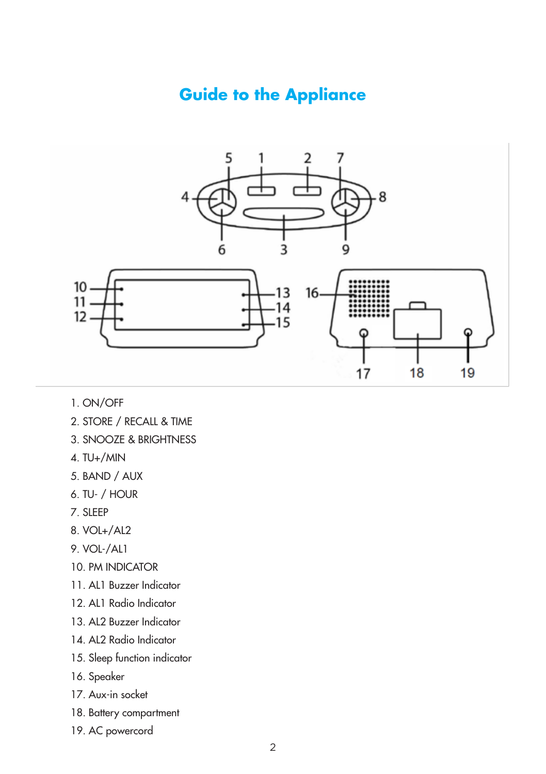### **Guide to the Appliance**



- 1. ON/OFF
- 2. STORE / RECALL & TIME
- 3. SNOOZE & BRIGHTNESS
- 4. TU+/MIN
- 5. BAND / AUX
- 6. TU- / HOUR
- 7. SLEEP
- 8. VOL+/AL2
- 9. VOL-/AL1
- 10. PM INDICATOR
- 11. AL1 Buzzer Indicator
- 12. AL1 Radio Indicator
- 13. AL2 Buzzer Indicator
- 14. AL2 Radio Indicator
- 15. Sleep function indicator
- 16. Speaker
- 17. Aux-in socket
- 18. Battery compartment
- 19. AC powercord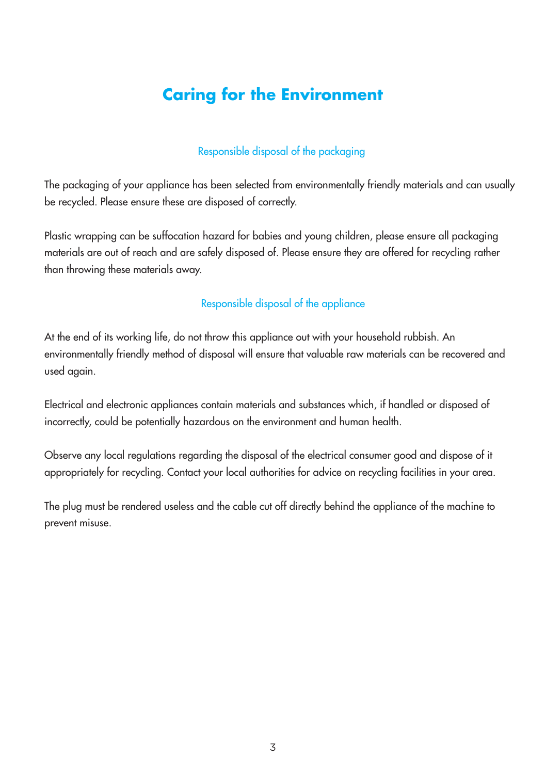# **Caring for the Environment**

#### Responsible disposal of the packaging

The packaging of your appliance has been selected from environmentally friendly materials and can usually be recycled. Please ensure these are disposed of correctly.

Plastic wrapping can be suffocation hazard for babies and young children, please ensure all packaging materials are out of reach and are safely disposed of. Please ensure they are offered for recycling rather than throwing these materials away.

#### Responsible disposal of the appliance

At the end of its working life, do not throw this appliance out with your household rubbish. An environmentally friendly method of disposal will ensure that valuable raw materials can be recovered and used again.

Electrical and electronic appliances contain materials and substances which, if handled or disposed of incorrectly, could be potentially hazardous on the environment and human health.

Observe any local regulations regarding the disposal of the electrical consumer good and dispose of it appropriately for recycling. Contact your local authorities for advice on recycling facilities in your area.

The plug must be rendered useless and the cable cut off directly behind the appliance of the machine to prevent misuse.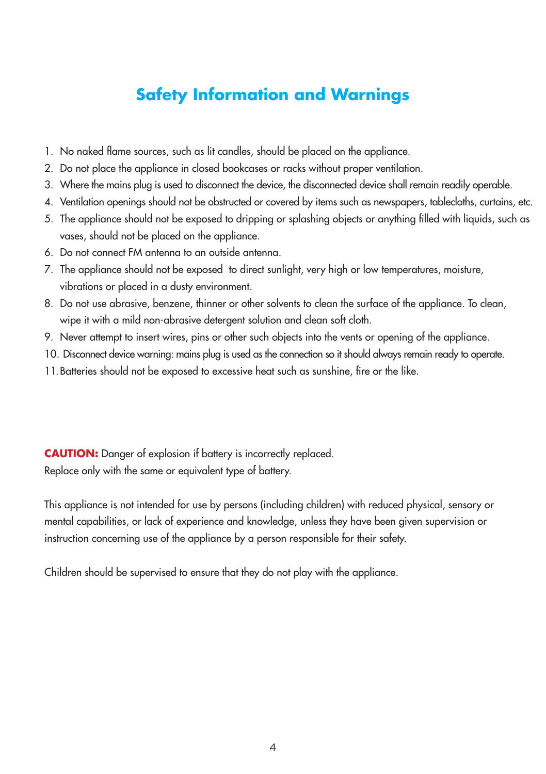# **Safety Information and Warnings**

- 1. No naked flame sources, such as lit candles, should be placed on the appliance.
- 2. Do not place the appliance in closed bookcases or racks without proper ventilation.
- 3. Where the mains plug is used to disconnect the device, the disconnected device shall remain readily operable.
- 4. Ventilation openings should not be obstructed or covered by items such as newspapers, tablecloths, curtains, etc.
- 5. The appliance should not be exposed to dripping or splashing objects or anything filled with liquids, such as vases, should not be placed on the appliance.
- 6. Do not connect FM antenna to an outside antenna.
- 7. The appliance should not be exposed to direct sunlight, very high or low temperatures, moisture, vibrations or placed in a dusty environment.
- 8. Do not use abrasive, benzene, thinner or other solvents to clean the surface of the appliance. To clean, wipe it with a mild non-abrasive detergent solution and clean soft cloth.
- 9. Never attempt to insert wires, pins or other such objects into the vents or opening of the appliance.
- 10. Disconnect device warning: mains plug is used as the connection so it should always remain ready to operate.
- 11.Batteries should not be exposed to excessive heat such as sunshine, fire or the like.

**CAUTION:** Danger of explosion if battery is incorrectly replaced. Replace only with the same or equivalent type of battery.

This appliance is not intended for use by persons (including children) with reduced physical, sensory or mental capabilities, or lack of experience and knowledge, unless they have been given supervision or instruction concerning use of the appliance by a person responsible for their safety.

Children should be supervised to ensure that they do not play with the appliance.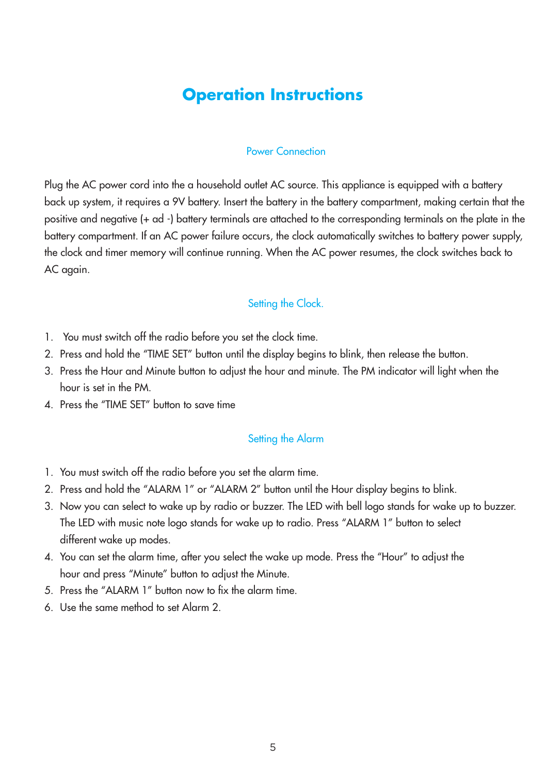### **Operation Instructions**

#### Power Connection

Plug the AC power cord into the a household outlet AC source. This appliance is equipped with a battery back up system, it requires a 9V battery. Insert the battery in the battery compartment, making certain that the positive and negative (+ ad -) battery terminals are attached to the corresponding terminals on the plate in the battery compartment. If an AC power failure occurs, the clock automatically switches to battery power supply, the clock and timer memory will continue running. When the AC power resumes, the clock switches back to AC again.

#### Setting the Clock.

- 1. You must switch off the radio before you set the clock time.
- 2. Press and hold the "TIME SET" button until the display begins to blink, then release the button.
- 3. Press the Hour and Minute button to adjust the hour and minute. The PM indicator will light when the hour is set in the PM.
- 4. Press the "TIME SET" button to save time

#### Setting the Alarm

- 1. You must switch off the radio before you set the alarm time.
- 2. Press and hold the "ALARM 1" or "ALARM 2" button until the Hour display begins to blink.
- 3. Now you can select to wake up by radio or buzzer. The LED with bell logo stands for wake up to buzzer. The LED with music note logo stands for wake up to radio. Press "ALARM 1" button to select different wake up modes.
- 4. You can set the alarm time, after you select the wake up mode. Press the "Hour" to adjust the hour and press "Minute" button to adjust the Minute.
- 5. Press the "ALARM 1" button now to fix the alarm time.
- 6. Use the same method to set Alarm 2.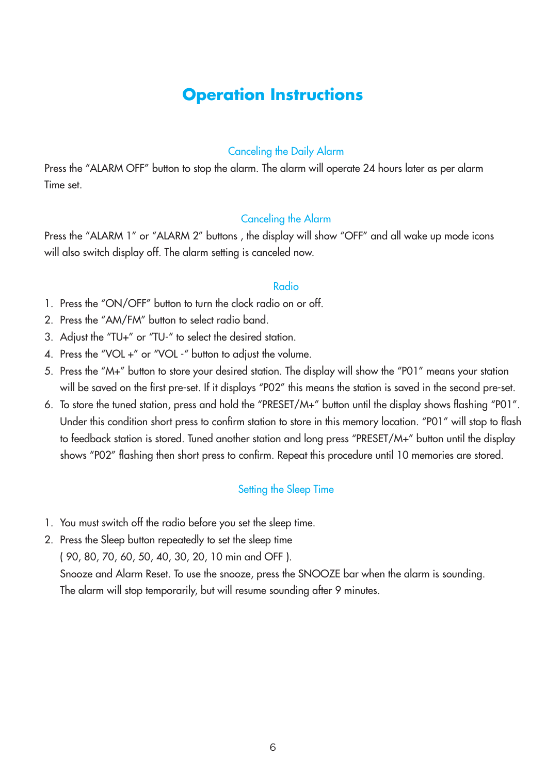### **Operation Instructions**

#### Canceling the Daily Alarm

Press the "ALARM OFF" button to stop the alarm. The alarm will operate 24 hours later as per alarm Time set.

#### Canceling the Alarm

Press the "ALARM 1" or "ALARM 2" buttons, the display will show "OFF" and all wake up mode icons will also switch display off. The alarm setting is canceled now.

#### Radio

- 1. Press the "ON/OFF" button to turn the clock radio on or off.
- 2. Press the "AM/FM" button to select radio band.
- 3. Adjust the "TU+" or "TU-" to select the desired station.
- 4. Press the "VOL +" or "VOL -" button to adjust the volume.
- 5. Press the "M+" button to store your desired station. The display will show the "P01" means your station will be saved on the first pre-set. If it displays "P02" this means the station is saved in the second pre-set.
- 6. To store the tuned station, press and hold the "PRESET/M+" button until the display shows flashing "P01". Under this condition short press to confirm station to store in this memory location. "P01" will stop to flash to feedback station is stored. Tuned another station and long press "PRESET/M+" button until the display shows "P02" flashing then short press to confirm. Repeat this procedure until 10 memories are stored.

#### Setting the Sleep Time

1. You must switch off the radio before you set the sleep time.

2. Press the Sleep button repeatedly to set the sleep time ( 90, 80, 70, 60, 50, 40, 30, 20, 10 min and OFF ). Snooze and Alarm Reset. To use the snooze, press the SNOOZE bar when the alarm is sounding. The alarm will stop temporarily, but will resume sounding after 9 minutes.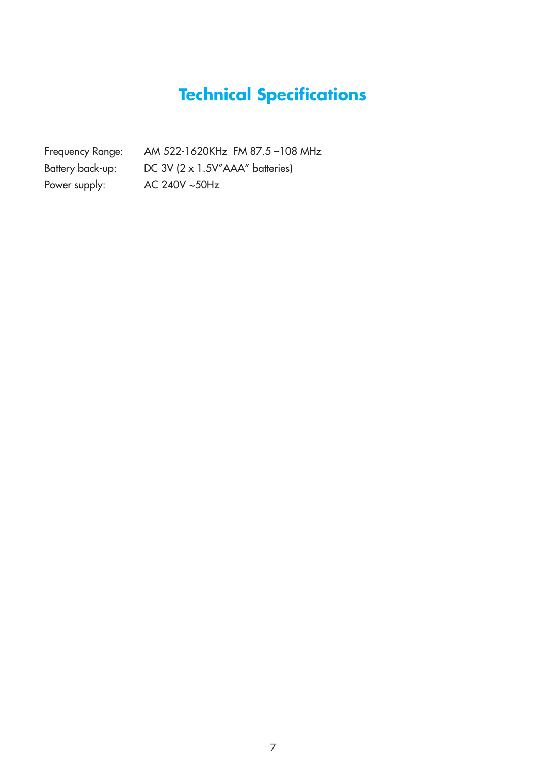# **Technical Specifications**

Power supply: AC 240V ~50Hz

Frequency Range: AM 522-1620KHz FM 87.5 –108 MHz Battery back-up: DC 3V (2 x 1.5V"AAA" batteries)